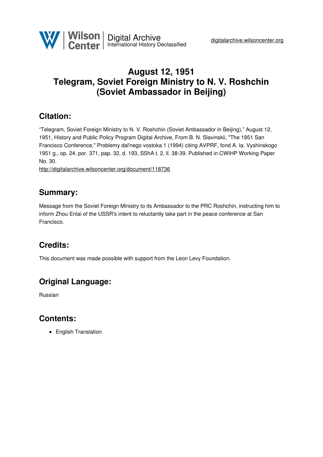

# **August 12, 1951 Telegram, Soviet Foreign Ministry to N. V. Roshchin (Soviet Ambassador in Beijing)**

### **Citation:**

"Telegram, Soviet Foreign Ministry to N. V. Roshchin (Soviet Ambassador in Beijing)," August 12, 1951, History and Public Policy Program Digital Archive, From B. N. Slavinskii, "The 1951 San Francisco Conference," Problemy dal'nego vostoka 1 (1994) citing AVPRF, fond A. Ia. Vyshinskogo 1951 g., op. 24, por. 371, pap. 32, d. 193, SShA t. 2, ll. 38-39. Published in CWIHP Working Paper No. 30.

<http://digitalarchive.wilsoncenter.org/document/118736>

## **Summary:**

Message from the Soviet Foreign Ministry to its Ambassador to the PRC Roshchin, instructing him to inform Zhou Enlai of the USSR's intent to reluctantly take part in the peace conference at San Francisco.

# **Credits:**

This document was made possible with support from the Leon Levy Foundation.

## **Original Language:**

Russian

### **Contents:**

• English Translation